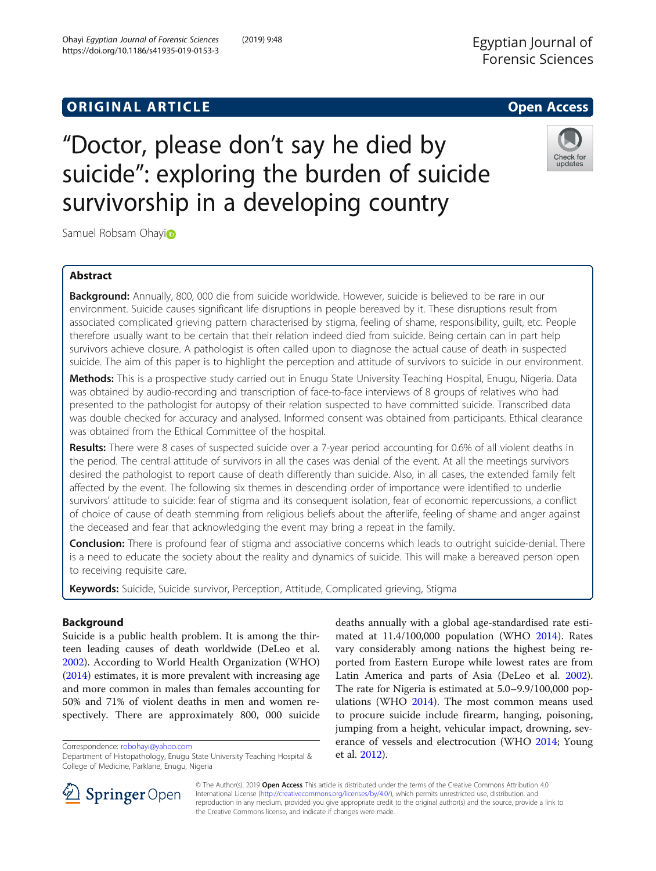# **ORIGINAL ARTICLE CONSERVANCE IN A LOCAL CONSERVANCE IN A LOCAL CONSERVANCE IN A LOCAL CONSERVANCE IN A LOCAL CONS**

# "Doctor, please don't say he died by suicide": exploring the burden of suicide survivorship in a developing country



Samuel Robsam Ohayi<sup>o</sup>

# Abstract

Background: Annually, 800, 000 die from suicide worldwide. However, suicide is believed to be rare in our environment. Suicide causes significant life disruptions in people bereaved by it. These disruptions result from associated complicated grieving pattern characterised by stigma, feeling of shame, responsibility, guilt, etc. People therefore usually want to be certain that their relation indeed died from suicide. Being certain can in part help survivors achieve closure. A pathologist is often called upon to diagnose the actual cause of death in suspected suicide. The aim of this paper is to highlight the perception and attitude of survivors to suicide in our environment.

Methods: This is a prospective study carried out in Enugu State University Teaching Hospital, Enugu, Nigeria. Data was obtained by audio-recording and transcription of face-to-face interviews of 8 groups of relatives who had presented to the pathologist for autopsy of their relation suspected to have committed suicide. Transcribed data was double checked for accuracy and analysed. Informed consent was obtained from participants. Ethical clearance was obtained from the Ethical Committee of the hospital.

Results: There were 8 cases of suspected suicide over a 7-year period accounting for 0.6% of all violent deaths in the period. The central attitude of survivors in all the cases was denial of the event. At all the meetings survivors desired the pathologist to report cause of death differently than suicide. Also, in all cases, the extended family felt affected by the event. The following six themes in descending order of importance were identified to underlie survivors' attitude to suicide: fear of stigma and its consequent isolation, fear of economic repercussions, a conflict of choice of cause of death stemming from religious beliefs about the afterlife, feeling of shame and anger against the deceased and fear that acknowledging the event may bring a repeat in the family.

Conclusion: There is profound fear of stigma and associative concerns which leads to outright suicide-denial. There is a need to educate the society about the reality and dynamics of suicide. This will make a bereaved person open to receiving requisite care.

Keywords: Suicide, Suicide survivor, Perception, Attitude, Complicated grieving, Stigma

# Background

Suicide is a public health problem. It is among the thirteen leading causes of death worldwide (DeLeo et al. [2002](#page-6-0)). According to World Health Organization (WHO) ([2014](#page-6-0)) estimates, it is more prevalent with increasing age and more common in males than females accounting for 50% and 71% of violent deaths in men and women respectively. There are approximately 800, 000 suicide

Correspondence: [robohayi@yahoo.com](mailto:robohayi@yahoo.com)

deaths annually with a global age-standardised rate estimated at 11.4/100,000 population (WHO [2014](#page-6-0)). Rates vary considerably among nations the highest being reported from Eastern Europe while lowest rates are from Latin America and parts of Asia (DeLeo et al. [2002](#page-6-0)). The rate for Nigeria is estimated at 5.0–9.9/100,000 populations (WHO [2014\)](#page-6-0). The most common means used to procure suicide include firearm, hanging, poisoning, jumping from a height, vehicular impact, drowning, severance of vessels and electrocution (WHO [2014](#page-6-0); Young et al. [2012\)](#page-6-0).



© The Author(s). 2019 Open Access This article is distributed under the terms of the Creative Commons Attribution 4.0 International License ([http://creativecommons.org/licenses/by/4.0/\)](http://creativecommons.org/licenses/by/4.0/), which permits unrestricted use, distribution, and reproduction in any medium, provided you give appropriate credit to the original author(s) and the source, provide a link to the Creative Commons license, and indicate if changes were made.

Department of Histopathology, Enugu State University Teaching Hospital & College of Medicine, Parklane, Enugu, Nigeria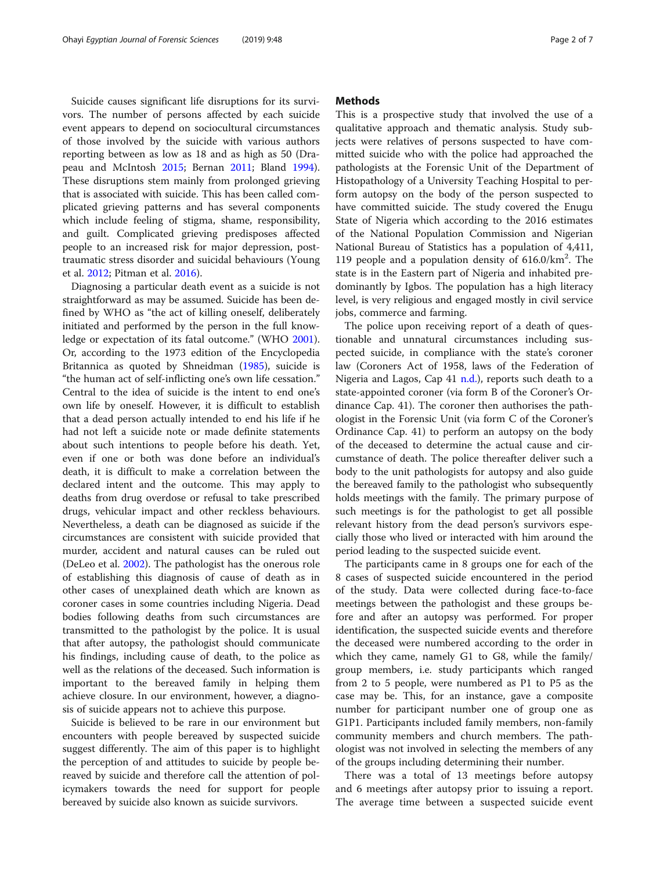Suicide causes significant life disruptions for its survivors. The number of persons affected by each suicide event appears to depend on sociocultural circumstances of those involved by the suicide with various authors reporting between as low as 18 and as high as 50 (Drapeau and McIntosh [2015;](#page-6-0) Bernan [2011;](#page-6-0) Bland [1994](#page-6-0)). These disruptions stem mainly from prolonged grieving that is associated with suicide. This has been called complicated grieving patterns and has several components which include feeling of stigma, shame, responsibility, and guilt. Complicated grieving predisposes affected people to an increased risk for major depression, posttraumatic stress disorder and suicidal behaviours (Young et al. [2012;](#page-6-0) Pitman et al. [2016](#page-6-0)).

Diagnosing a particular death event as a suicide is not straightforward as may be assumed. Suicide has been defined by WHO as "the act of killing oneself, deliberately initiated and performed by the person in the full knowledge or expectation of its fatal outcome." (WHO [2001](#page-6-0)). Or, according to the 1973 edition of the Encyclopedia Britannica as quoted by Shneidman [\(1985](#page-6-0)), suicide is "the human act of self-inflicting one's own life cessation." Central to the idea of suicide is the intent to end one's own life by oneself. However, it is difficult to establish that a dead person actually intended to end his life if he had not left a suicide note or made definite statements about such intentions to people before his death. Yet, even if one or both was done before an individual's death, it is difficult to make a correlation between the declared intent and the outcome. This may apply to deaths from drug overdose or refusal to take prescribed drugs, vehicular impact and other reckless behaviours. Nevertheless, a death can be diagnosed as suicide if the circumstances are consistent with suicide provided that murder, accident and natural causes can be ruled out (DeLeo et al. [2002](#page-6-0)). The pathologist has the onerous role of establishing this diagnosis of cause of death as in other cases of unexplained death which are known as coroner cases in some countries including Nigeria. Dead bodies following deaths from such circumstances are transmitted to the pathologist by the police. It is usual that after autopsy, the pathologist should communicate his findings, including cause of death, to the police as well as the relations of the deceased. Such information is important to the bereaved family in helping them achieve closure. In our environment, however, a diagnosis of suicide appears not to achieve this purpose.

Suicide is believed to be rare in our environment but encounters with people bereaved by suspected suicide suggest differently. The aim of this paper is to highlight the perception of and attitudes to suicide by people bereaved by suicide and therefore call the attention of policymakers towards the need for support for people bereaved by suicide also known as suicide survivors.

# **Methods**

This is a prospective study that involved the use of a qualitative approach and thematic analysis. Study subjects were relatives of persons suspected to have committed suicide who with the police had approached the pathologists at the Forensic Unit of the Department of Histopathology of a University Teaching Hospital to perform autopsy on the body of the person suspected to have committed suicide. The study covered the Enugu State of Nigeria which according to the 2016 estimates of the National Population Commission and Nigerian National Bureau of Statistics has a population of 4,411, 119 people and a population density of 616.0/km2 . The state is in the Eastern part of Nigeria and inhabited predominantly by Igbos. The population has a high literacy level, is very religious and engaged mostly in civil service jobs, commerce and farming.

The police upon receiving report of a death of questionable and unnatural circumstances including suspected suicide, in compliance with the state's coroner law (Coroners Act of 1958, laws of the Federation of Nigeria and Lagos, Cap  $41$  [n.d.](#page-6-0)), reports such death to a state-appointed coroner (via form B of the Coroner's Ordinance Cap. 41). The coroner then authorises the pathologist in the Forensic Unit (via form C of the Coroner's Ordinance Cap. 41) to perform an autopsy on the body of the deceased to determine the actual cause and circumstance of death. The police thereafter deliver such a body to the unit pathologists for autopsy and also guide the bereaved family to the pathologist who subsequently holds meetings with the family. The primary purpose of such meetings is for the pathologist to get all possible relevant history from the dead person's survivors especially those who lived or interacted with him around the period leading to the suspected suicide event.

The participants came in 8 groups one for each of the 8 cases of suspected suicide encountered in the period of the study. Data were collected during face-to-face meetings between the pathologist and these groups before and after an autopsy was performed. For proper identification, the suspected suicide events and therefore the deceased were numbered according to the order in which they came, namely G1 to G8, while the family/ group members, i.e. study participants which ranged from 2 to 5 people, were numbered as P1 to P5 as the case may be. This, for an instance, gave a composite number for participant number one of group one as G1P1. Participants included family members, non-family community members and church members. The pathologist was not involved in selecting the members of any of the groups including determining their number.

There was a total of 13 meetings before autopsy and 6 meetings after autopsy prior to issuing a report. The average time between a suspected suicide event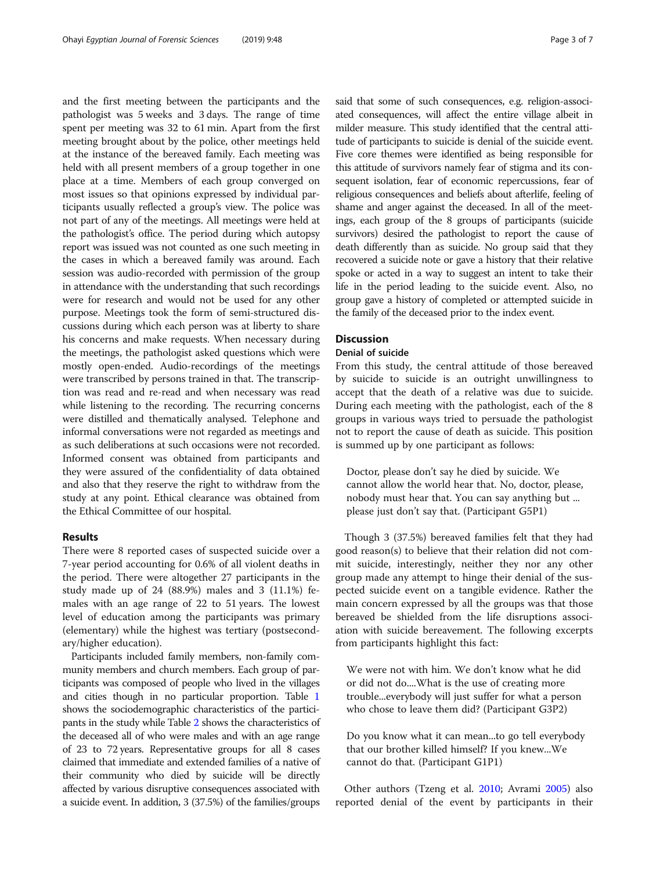and the first meeting between the participants and the pathologist was 5 weeks and 3 days. The range of time spent per meeting was 32 to 61 min. Apart from the first meeting brought about by the police, other meetings held at the instance of the bereaved family. Each meeting was held with all present members of a group together in one place at a time. Members of each group converged on most issues so that opinions expressed by individual participants usually reflected a group's view. The police was not part of any of the meetings. All meetings were held at the pathologist's office. The period during which autopsy report was issued was not counted as one such meeting in the cases in which a bereaved family was around. Each session was audio-recorded with permission of the group in attendance with the understanding that such recordings were for research and would not be used for any other purpose. Meetings took the form of semi-structured discussions during which each person was at liberty to share his concerns and make requests. When necessary during the meetings, the pathologist asked questions which were mostly open-ended. Audio-recordings of the meetings were transcribed by persons trained in that. The transcription was read and re-read and when necessary was read while listening to the recording. The recurring concerns were distilled and thematically analysed. Telephone and informal conversations were not regarded as meetings and as such deliberations at such occasions were not recorded. Informed consent was obtained from participants and they were assured of the confidentiality of data obtained and also that they reserve the right to withdraw from the study at any point. Ethical clearance was obtained from the Ethical Committee of our hospital.

# Results

There were 8 reported cases of suspected suicide over a 7-year period accounting for 0.6% of all violent deaths in the period. There were altogether 27 participants in the study made up of 24 (88.9%) males and 3 (11.1%) females with an age range of 22 to 51 years. The lowest level of education among the participants was primary (elementary) while the highest was tertiary (postsecondary/higher education).

Participants included family members, non-family community members and church members. Each group of participants was composed of people who lived in the villages and cities though in no particular proportion. Table [1](#page-3-0) shows the sociodemographic characteristics of the participants in the study while Table [2](#page-3-0) shows the characteristics of the deceased all of who were males and with an age range of 23 to 72 years. Representative groups for all 8 cases claimed that immediate and extended families of a native of their community who died by suicide will be directly affected by various disruptive consequences associated with a suicide event. In addition, 3 (37.5%) of the families/groups said that some of such consequences, e.g. religion-associated consequences, will affect the entire village albeit in milder measure. This study identified that the central attitude of participants to suicide is denial of the suicide event. Five core themes were identified as being responsible for this attitude of survivors namely fear of stigma and its consequent isolation, fear of economic repercussions, fear of religious consequences and beliefs about afterlife, feeling of shame and anger against the deceased. In all of the meetings, each group of the 8 groups of participants (suicide survivors) desired the pathologist to report the cause of death differently than as suicide. No group said that they recovered a suicide note or gave a history that their relative spoke or acted in a way to suggest an intent to take their life in the period leading to the suicide event. Also, no group gave a history of completed or attempted suicide in the family of the deceased prior to the index event.

# **Discussion**

# Denial of suicide

From this study, the central attitude of those bereaved by suicide to suicide is an outright unwillingness to accept that the death of a relative was due to suicide. During each meeting with the pathologist, each of the 8 groups in various ways tried to persuade the pathologist not to report the cause of death as suicide. This position is summed up by one participant as follows:

Doctor, please don't say he died by suicide. We cannot allow the world hear that. No, doctor, please, nobody must hear that. You can say anything but ... please just don't say that. (Participant G5P1)

Though 3 (37.5%) bereaved families felt that they had good reason(s) to believe that their relation did not commit suicide, interestingly, neither they nor any other group made any attempt to hinge their denial of the suspected suicide event on a tangible evidence. Rather the main concern expressed by all the groups was that those bereaved be shielded from the life disruptions association with suicide bereavement. The following excerpts from participants highlight this fact:

We were not with him. We don't know what he did or did not do....What is the use of creating more trouble...everybody will just suffer for what a person who chose to leave them did? (Participant G3P2)

Do you know what it can mean...to go tell everybody that our brother killed himself? If you knew...We cannot do that. (Participant G1P1)

Other authors (Tzeng et al. [2010;](#page-6-0) Avrami [2005](#page-6-0)) also reported denial of the event by participants in their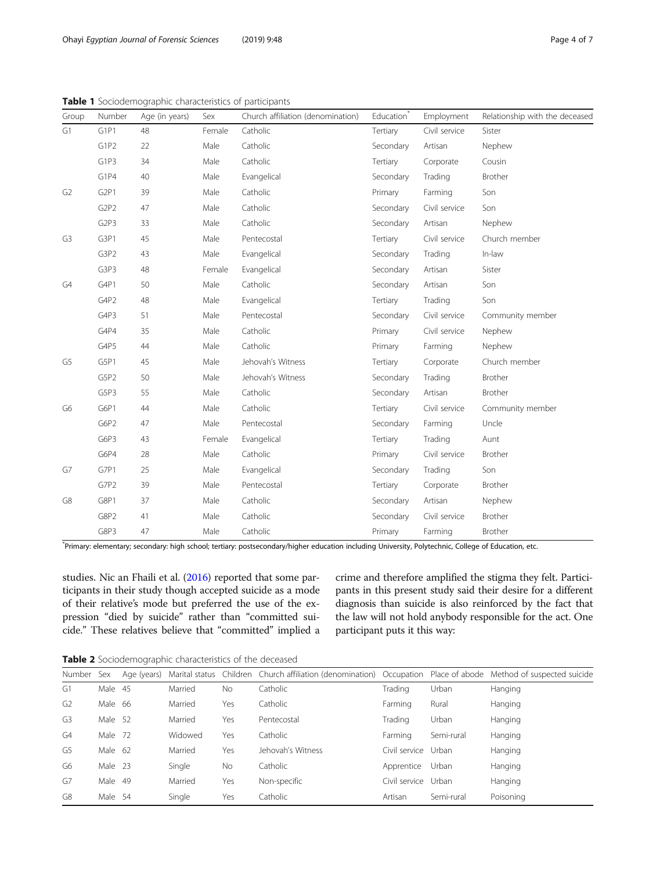| Group          | Number                        | Age (in years) | Sex    | Church affiliation (denomination) | Education <sup>*</sup> | Employment    | Relationship with the deceased |
|----------------|-------------------------------|----------------|--------|-----------------------------------|------------------------|---------------|--------------------------------|
| G1             | G1P1                          | 48             | Female | Catholic                          | Tertiary               | Civil service | Sister                         |
|                | G1P2                          | 22             | Male   | Catholic                          | Secondary              | Artisan       | Nephew                         |
|                | G1P3                          | 34             | Male   | Catholic                          | Tertiary               | Corporate     | Cousin                         |
|                | G <sub>1</sub> P <sub>4</sub> | 40             | Male   | Evangelical                       | Secondary              | Trading       | Brother                        |
| G <sub>2</sub> | G <sub>2P1</sub>              | 39             | Male   | Catholic                          | Primary                | Farming       | Son                            |
|                | G <sub>2</sub> P <sub>2</sub> | 47             | Male   | Catholic                          | Secondary              | Civil service | Son                            |
|                | G <sub>2</sub> P <sub>3</sub> | 33             | Male   | Catholic                          | Secondary              | Artisan       | Nephew                         |
| G <sub>3</sub> | G3P1                          | 45             | Male   | Pentecostal                       | Tertiary               | Civil service | Church member                  |
|                | G3P2                          | 43             | Male   | Evangelical                       | Secondary              | Trading       | In-law                         |
|                | G3P3                          | 48             | Female | Evangelical                       | Secondary              | Artisan       | Sister                         |
| G4             | G4P1                          | 50             | Male   | Catholic                          | Secondary              | Artisan       | Son                            |
|                | G4P2                          | 48             | Male   | Evangelical                       | Tertiary               | Trading       | Son                            |
|                | G4P3                          | 51             | Male   | Pentecostal                       | Secondary              | Civil service | Community member               |
|                | G4P4                          | 35             | Male   | Catholic                          | Primary                | Civil service | Nephew                         |
|                | G4P5                          | 44             | Male   | Catholic                          | Primary                | Farming       | Nephew                         |
| G5             | G5P1                          | 45             | Male   | Jehovah's Witness                 | Tertiary               | Corporate     | Church member                  |
|                | G5P2                          | 50             | Male   | Jehovah's Witness                 | Secondary              | Trading       | Brother                        |
|                | G5P3                          | 55             | Male   | Catholic                          | Secondary              | Artisan       | Brother                        |
| G6             | G6P1                          | 44             | Male   | Catholic                          | Tertiary               | Civil service | Community member               |
|                | G6P2                          | 47             | Male   | Pentecostal                       | Secondary              | Farming       | Uncle                          |
|                | G6P3                          | 43             | Female | Evangelical                       | Tertiary               | Trading       | Aunt                           |
|                | G6P4                          | 28             | Male   | Catholic                          | Primary                | Civil service | Brother                        |
| G7             | G7P1                          | 25             | Male   | Evangelical                       | Secondary              | Trading       | Son                            |
|                | G7P2                          | 39             | Male   | Pentecostal                       | Tertiary               | Corporate     | Brother                        |
| G8             | G8P1                          | 37             | Male   | Catholic                          | Secondary              | Artisan       | Nephew                         |
|                | G8P2                          | 41             | Male   | Catholic                          | Secondary              | Civil service | Brother                        |
|                | G8P3                          | 47             | Male   | Catholic                          | Primary                | Farming       | Brother                        |

<span id="page-3-0"></span>Table 1 Sociodemographic characteristics of participants

\* Primary: elementary; secondary: high school; tertiary: postsecondary/higher education including University, Polytechnic, College of Education, etc.

studies. Nic an Fhaili et al. [\(2016\)](#page-6-0) reported that some participants in their study though accepted suicide as a mode of their relative's mode but preferred the use of the expression "died by suicide" rather than "committed suicide." These relatives believe that "committed" implied a crime and therefore amplified the stigma they felt. Participants in this present study said their desire for a different diagnosis than suicide is also reinforced by the fact that the law will not hold anybody responsible for the act. One participant puts it this way:

Table 2 Sociodemographic characteristics of the deceased

| Number         | Sex     | Age (years) |         |           | Marital status Children Church affiliation (denomination) Occupation Place of abode Method of suspected suicide |               |            |           |
|----------------|---------|-------------|---------|-----------|-----------------------------------------------------------------------------------------------------------------|---------------|------------|-----------|
| G1             | Male 45 |             | Married | <b>No</b> | Catholic                                                                                                        | Trading       | Urban      | Hanging   |
| G <sub>2</sub> | Male 66 |             | Married | Yes       | Catholic                                                                                                        | Farming       | Rural      | Hanging   |
| G <sub>3</sub> | Male    | -52         | Married | Yes       | Pentecostal                                                                                                     | Trading       | Urban      | Hanging   |
| G4             | Male    | 72          | Widowed | Yes       | Catholic                                                                                                        | Farming       | Semi-rural | Hanging   |
| G5             | Male 62 |             | Married | Yes       | Jehovah's Witness                                                                                               | Civil service | Urban      | Hanging   |
| G6             | Male    | -23         | Single  | <b>No</b> | Catholic                                                                                                        | Apprentice    | Urban      | Hanging   |
| G7             | Male    | 49          | Married | Yes       | Non-specific                                                                                                    | Civil service | Urban      | Hanging   |
| G8             | Male    | -54         | Single  | Yes       | Catholic                                                                                                        | Artisan       | Semi-rural | Poisoning |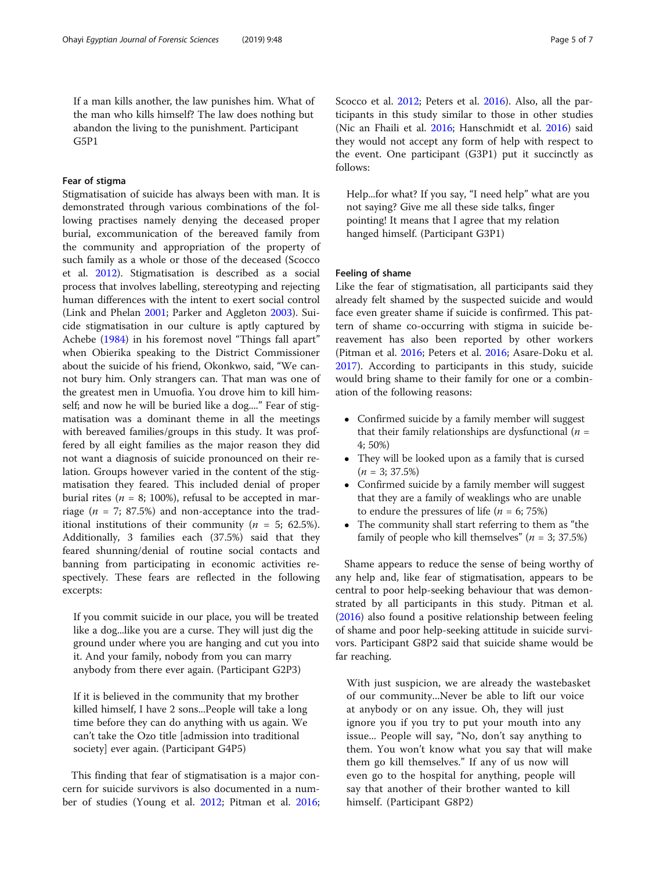If a man kills another, the law punishes him. What of the man who kills himself? The law does nothing but abandon the living to the punishment. Participant G5P1

# Fear of stigma

Stigmatisation of suicide has always been with man. It is demonstrated through various combinations of the following practises namely denying the deceased proper burial, excommunication of the bereaved family from the community and appropriation of the property of such family as a whole or those of the deceased (Scocco et al. [2012](#page-6-0)). Stigmatisation is described as a social process that involves labelling, stereotyping and rejecting human differences with the intent to exert social control (Link and Phelan [2001;](#page-6-0) Parker and Aggleton [2003](#page-6-0)). Suicide stigmatisation in our culture is aptly captured by Achebe [\(1984\)](#page-6-0) in his foremost novel "Things fall apart" when Obierika speaking to the District Commissioner about the suicide of his friend, Okonkwo, said, "We cannot bury him. Only strangers can. That man was one of the greatest men in Umuofia. You drove him to kill himself; and now he will be buried like a dog...." Fear of stigmatisation was a dominant theme in all the meetings with bereaved families/groups in this study. It was proffered by all eight families as the major reason they did not want a diagnosis of suicide pronounced on their relation. Groups however varied in the content of the stigmatisation they feared. This included denial of proper burial rites ( $n = 8$ ; 100%), refusal to be accepted in marriage ( $n = 7$ ; 87.5%) and non-acceptance into the traditional institutions of their community ( $n = 5$ ; 62.5%). Additionally, 3 families each (37.5%) said that they feared shunning/denial of routine social contacts and banning from participating in economic activities respectively. These fears are reflected in the following excerpts:

If you commit suicide in our place, you will be treated like a dog...like you are a curse. They will just dig the ground under where you are hanging and cut you into it. And your family, nobody from you can marry anybody from there ever again. (Participant G2P3)

If it is believed in the community that my brother killed himself, I have 2 sons...People will take a long time before they can do anything with us again. We can't take the Ozo title [admission into traditional society] ever again. (Participant G4P5)

This finding that fear of stigmatisation is a major concern for suicide survivors is also documented in a number of studies (Young et al. [2012](#page-6-0); Pitman et al. [2016](#page-6-0); Scocco et al. [2012;](#page-6-0) Peters et al. [2016\)](#page-6-0). Also, all the participants in this study similar to those in other studies (Nic an Fhaili et al. [2016;](#page-6-0) Hanschmidt et al. [2016](#page-6-0)) said they would not accept any form of help with respect to the event. One participant (G3P1) put it succinctly as follows:

Help...for what? If you say, "I need help" what are you not saying? Give me all these side talks, finger pointing! It means that I agree that my relation hanged himself. (Participant G3P1)

# Feeling of shame

Like the fear of stigmatisation, all participants said they already felt shamed by the suspected suicide and would face even greater shame if suicide is confirmed. This pattern of shame co-occurring with stigma in suicide bereavement has also been reported by other workers (Pitman et al. [2016](#page-6-0); Peters et al. [2016](#page-6-0); Asare-Doku et al. [2017](#page-6-0)). According to participants in this study, suicide would bring shame to their family for one or a combination of the following reasons:

- Confirmed suicide by a family member will suggest that their family relationships are dysfunctional ( $n =$ 4; 50%)
- They will be looked upon as a family that is cursed  $(n = 3; 37.5%)$
- Confirmed suicide by a family member will suggest that they are a family of weaklings who are unable to endure the pressures of life ( $n = 6$ ; 75%)
- The community shall start referring to them as "the family of people who kill themselves"  $(n = 3; 37.5%)$

Shame appears to reduce the sense of being worthy of any help and, like fear of stigmatisation, appears to be central to poor help-seeking behaviour that was demonstrated by all participants in this study. Pitman et al. ([2016\)](#page-6-0) also found a positive relationship between feeling of shame and poor help-seeking attitude in suicide survivors. Participant G8P2 said that suicide shame would be far reaching.

With just suspicion, we are already the wastebasket of our community...Never be able to lift our voice at anybody or on any issue. Oh, they will just ignore you if you try to put your mouth into any issue... People will say, "No, don't say anything to them. You won't know what you say that will make them go kill themselves." If any of us now will even go to the hospital for anything, people will say that another of their brother wanted to kill himself. (Participant G8P2)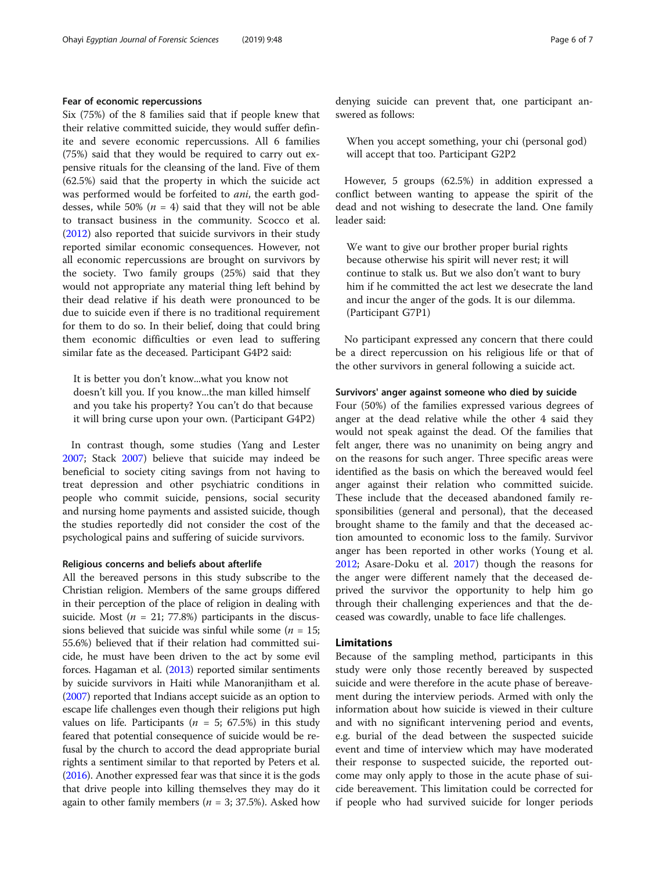# Fear of economic repercussions

Six (75%) of the 8 families said that if people knew that their relative committed suicide, they would suffer definite and severe economic repercussions. All 6 families (75%) said that they would be required to carry out expensive rituals for the cleansing of the land. Five of them (62.5%) said that the property in which the suicide act was performed would be forfeited to *ani*, the earth goddesses, while 50% ( $n = 4$ ) said that they will not be able to transact business in the community. Scocco et al. ([2012](#page-6-0)) also reported that suicide survivors in their study reported similar economic consequences. However, not all economic repercussions are brought on survivors by the society. Two family groups (25%) said that they would not appropriate any material thing left behind by their dead relative if his death were pronounced to be due to suicide even if there is no traditional requirement for them to do so. In their belief, doing that could bring them economic difficulties or even lead to suffering similar fate as the deceased. Participant G4P2 said:

It is better you don't know...what you know not doesn't kill you. If you know...the man killed himself and you take his property? You can't do that because it will bring curse upon your own. (Participant G4P2)

In contrast though, some studies (Yang and Lester [2007](#page-6-0); Stack [2007](#page-6-0)) believe that suicide may indeed be beneficial to society citing savings from not having to treat depression and other psychiatric conditions in people who commit suicide, pensions, social security and nursing home payments and assisted suicide, though the studies reportedly did not consider the cost of the psychological pains and suffering of suicide survivors.

# Religious concerns and beliefs about afterlife

All the bereaved persons in this study subscribe to the Christian religion. Members of the same groups differed in their perception of the place of religion in dealing with suicide. Most ( $n = 21$ ; 77.8%) participants in the discussions believed that suicide was sinful while some ( $n = 15$ ; 55.6%) believed that if their relation had committed suicide, he must have been driven to the act by some evil forces. Hagaman et al. [\(2013\)](#page-6-0) reported similar sentiments by suicide survivors in Haiti while Manoranjitham et al. ([2007](#page-6-0)) reported that Indians accept suicide as an option to escape life challenges even though their religions put high values on life. Participants ( $n = 5$ ; 67.5%) in this study feared that potential consequence of suicide would be refusal by the church to accord the dead appropriate burial rights a sentiment similar to that reported by Peters et al. ([2016](#page-6-0)). Another expressed fear was that since it is the gods that drive people into killing themselves they may do it again to other family members ( $n = 3$ ; 37.5%). Asked how denying suicide can prevent that, one participant answered as follows:

When you accept something, your chi (personal god) will accept that too. Participant G2P2

However, 5 groups (62.5%) in addition expressed a conflict between wanting to appease the spirit of the dead and not wishing to desecrate the land. One family leader said:

We want to give our brother proper burial rights because otherwise his spirit will never rest; it will continue to stalk us. But we also don't want to bury him if he committed the act lest we desecrate the land and incur the anger of the gods. It is our dilemma. (Participant G7P1)

No participant expressed any concern that there could be a direct repercussion on his religious life or that of the other survivors in general following a suicide act.

# Survivors' anger against someone who died by suicide

Four (50%) of the families expressed various degrees of anger at the dead relative while the other 4 said they would not speak against the dead. Of the families that felt anger, there was no unanimity on being angry and on the reasons for such anger. Three specific areas were identified as the basis on which the bereaved would feel anger against their relation who committed suicide. These include that the deceased abandoned family responsibilities (general and personal), that the deceased brought shame to the family and that the deceased action amounted to economic loss to the family. Survivor anger has been reported in other works (Young et al. [2012](#page-6-0); Asare-Doku et al. [2017\)](#page-6-0) though the reasons for the anger were different namely that the deceased deprived the survivor the opportunity to help him go through their challenging experiences and that the deceased was cowardly, unable to face life challenges.

# Limitations

Because of the sampling method, participants in this study were only those recently bereaved by suspected suicide and were therefore in the acute phase of bereavement during the interview periods. Armed with only the information about how suicide is viewed in their culture and with no significant intervening period and events, e.g. burial of the dead between the suspected suicide event and time of interview which may have moderated their response to suspected suicide, the reported outcome may only apply to those in the acute phase of suicide bereavement. This limitation could be corrected for if people who had survived suicide for longer periods